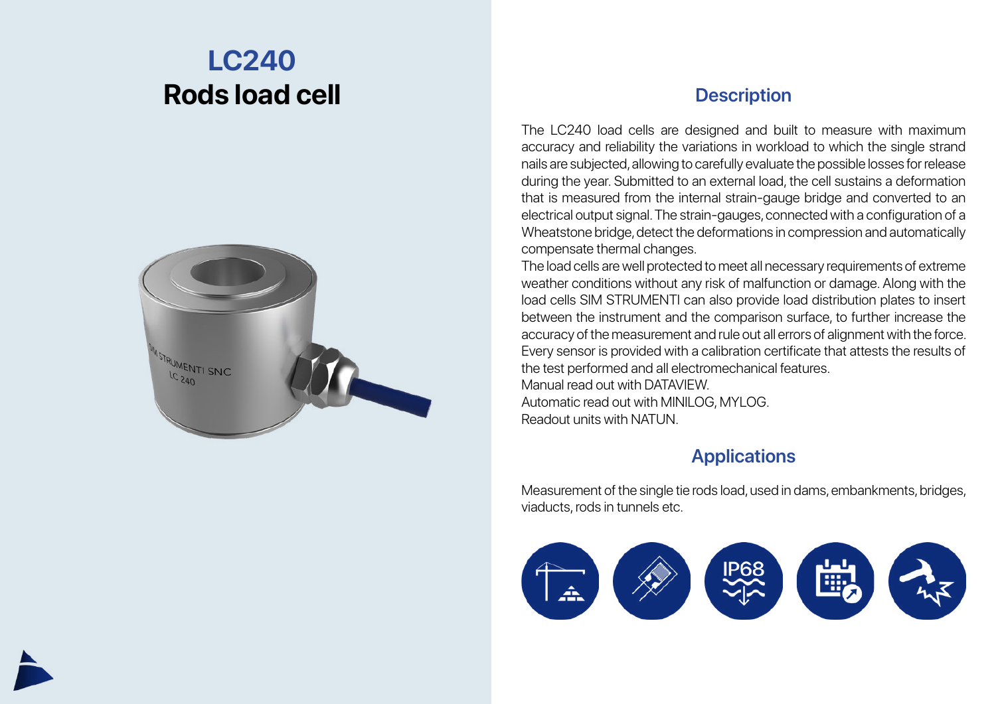## **LC240 Rods load cell**



## **Description**

The LC240 load cells are designed and built to measure with maximum accuracy and reliability the variations in workload to which the single strand nails are subjected, allowing to carefully evaluate the possible losses for release during the year. Submitted to an external load, the cell sustains a deformation that is measured from the internal strain-gauge bridge and converted to an electrical output signal. The strain-gauges, connected with a configuration of a Wheatstone bridge, detect the deformations in compression and automatically compensate thermal changes.

The load cells are well protected to meet all necessary requirements of extreme weather conditions without any risk of malfunction or damage. Along with the load cells SIM STRUMENTI can also provide load distribution plates to insert between the instrument and the comparison surface, to further increase the accuracy of the measurement and rule out all errors of alignment with the force. Every sensor is provided with a calibration certificate that attests the results of the test performed and all electromechanical features. Manual read out with DATAVIEW.

Automatic read out with MINILOG, MYLOG. Readout units with NATUN.

## **Applications**

Measurement of the single tie rods load, used in dams, embankments, bridges, viaducts, rods in tunnels etc.